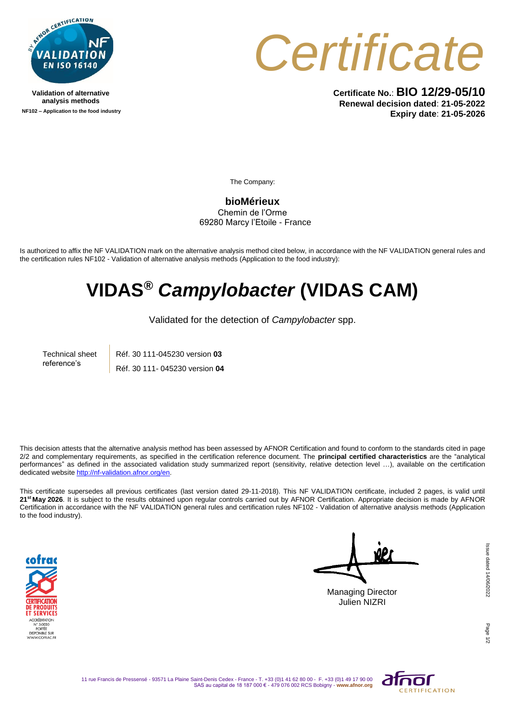

**Validation of alternative analysis methods NF102 – Application to the food industry**



**Certificate No.**: **BIO 12/29-05/10 Renewal decision dated**: **21-05-2022 Expiry date**: **21-05-2026**

The Company:

**bioMérieux** Chemin de l'Orme 69280 Marcy l'Etoile - France

Is authorized to affix the NF VALIDATION mark on the alternative analysis method cited below, in accordance with the NF VALIDATION general rules and the certification rules NF102 - Validation of alternative analysis methods (Application to the food industry):

## **VIDAS®** *Campylobacter* **(VIDAS CAM)**

Validated for the detection of *Campylobacter* spp.

Technical sheet reference's Réf. 30 111-045230 version **03** Réf. 30 111- 045230 version **04**

This decision attests that the alternative analysis method has been assessed by AFNOR Certification and found to conform to the standards cited in page 2/2 and complementary requirements, as specified in the certification reference document. The **principal certified characteristics** are the "analytical performances" as defined in the associated validation study summarized report (sensitivity, relative detection level …), available on the certification dedicated websit[e http://nf-validation.afnor.org/en.](http://nf-validation.afnor.org/en)

This certificate supersedes all previous certificates (last version dated 29-11-2018). This NF VALIDATION certificate, included 2 pages, is valid until **21st May 2026**. It is subject to the results obtained upon regular controls carried out by AFNOR Certification. Appropriate decision is made by AFNOR Certification in accordance with the NF VALIDATION general rules and certification rules NF102 - Validation of alternative analysis methods (Application to the food industry).



Managing Director Julien NIZRI

Issue dated